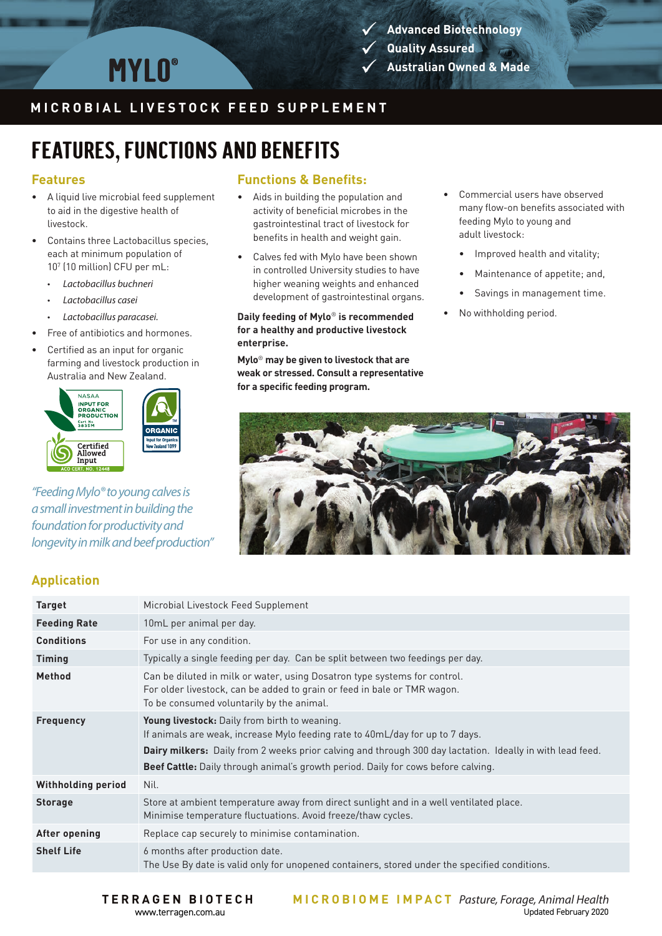

# **MICROBIAL LIVESTOCK FEED SUPPLEMENT**

# **FEATURES, FUNCTIONS AND BENEFITS**

# **Features**

• A liquid live microbial feed supplement to aid in the digestive health of livestock.

**MYLO**<sup>®</sup>

- Contains three Lactobacillus species, each at minimum population of 107 (10 million) CFU per mL:
	- • *Lactobacillus buchneri*
	- • *Lactobacillus casei*
	- Lactobacillus paracasei.
- Free of antibiotics and hormones.
- Certified as an input for organic farming and livestock production in Australia and New Zealand.



*"Feeding Mylo® to young calves is a small investment in building the foundation for productivity and longevity in milk and beef production"*

## **Application**

# **Functions & Benefits:**

- Aids in building the population and activity of beneficial microbes in the gastrointestinal tract of livestock for benefits in health and weight gain.
- Calves fed with Mylo have been shown in controlled University studies to have higher weaning weights and enhanced development of gastrointestinal organs.

**Daily feeding of Mylo**® **is recommended for a healthy and productive livestock enterprise.**

**Mylo**® **may be given to livestock that are weak or stressed. Consult a representative for a specific feeding program.**

- Commercial users have observed many flow-on benefits associated with feeding Mylo to young and adult livestock:
	- Improved health and vitality;
	- Maintenance of appetite; and,
	- Savings in management time.
- No withholding period.



| <b>Target</b>             | Microbial Livestock Feed Supplement                                                                                                                                                                                                                                                                                                     |
|---------------------------|-----------------------------------------------------------------------------------------------------------------------------------------------------------------------------------------------------------------------------------------------------------------------------------------------------------------------------------------|
| <b>Feeding Rate</b>       | 10mL per animal per day.                                                                                                                                                                                                                                                                                                                |
| <b>Conditions</b>         | For use in any condition.                                                                                                                                                                                                                                                                                                               |
| <b>Timing</b>             | Typically a single feeding per day. Can be split between two feedings per day.                                                                                                                                                                                                                                                          |
| <b>Method</b>             | Can be diluted in milk or water, using Dosatron type systems for control.<br>For older livestock, can be added to grain or feed in bale or TMR wagon.<br>To be consumed voluntarily by the animal.                                                                                                                                      |
| <b>Frequency</b>          | Young livestock: Daily from birth to weaning.<br>If animals are weak, increase Mylo feeding rate to 40mL/day for up to 7 days.<br>Dairy milkers: Daily from 2 weeks prior calving and through 300 day lactation. Ideally in with lead feed.<br><b>Beef Cattle:</b> Daily through animal's growth period. Daily for cows before calving. |
| <b>Withholding period</b> | Nil.                                                                                                                                                                                                                                                                                                                                    |
| <b>Storage</b>            | Store at ambient temperature away from direct sunlight and in a well ventilated place.<br>Minimise temperature fluctuations. Avoid freeze/thaw cycles.                                                                                                                                                                                  |
| After opening             | Replace cap securely to minimise contamination.                                                                                                                                                                                                                                                                                         |
| <b>Shelf Life</b>         | 6 months after production date.<br>The Use By date is valid only for unopened containers, stored under the specified conditions.                                                                                                                                                                                                        |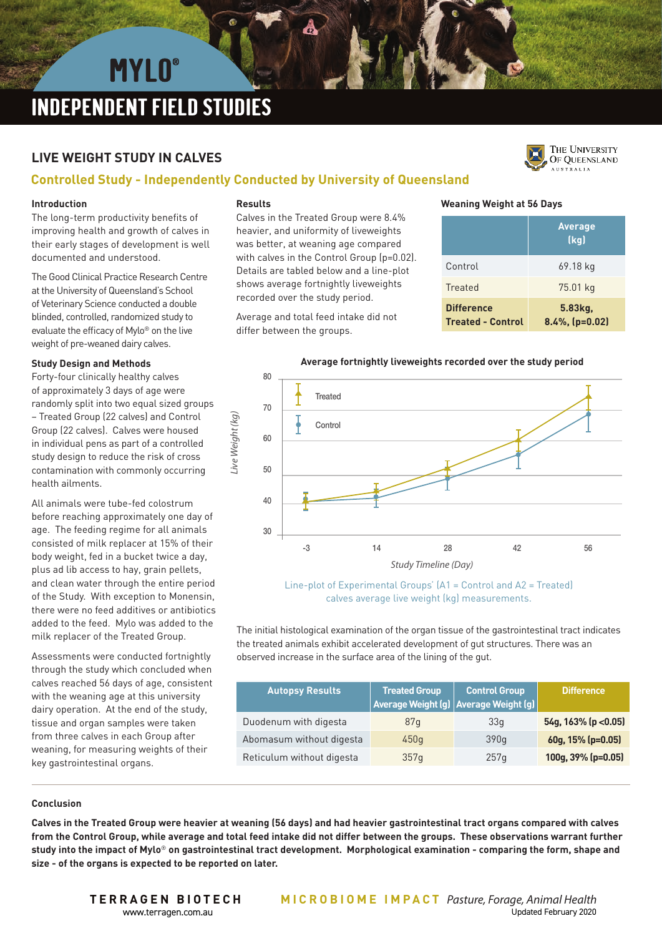# **MYLO**<sup>®</sup>

# **INDEPENDENT FIELD STUDIES**

# **LIVE WEIGHT STUDY IN CALVES**

# **Controlled Study - Independently Conducted by University of Queensland**

### **Introduction**

The long-term productivity benefits of improving health and growth of calves in their early stages of development is well documented and understood.

The Good Clinical Practice Research Centre at the University of Queensland's School of Veterinary Science conducted a double blinded, controlled, randomized study to evaluate the efficacy of Mylo® on the live weight of pre-weaned dairy calves.

### **Study Design and Methods**

Forty-four clinically healthy calves of approximately 3 days of age were randomly split into two equal sized groups – Treated Group (22 calves) and Control Group (22 calves). Calves were housed in individual pens as part of a controlled study design to reduce the risk of cross contamination with commonly occurring health ailments.

All animals were tube-fed colostrum before reaching approximately one day of age. The feeding regime for all animals consisted of milk replacer at 15% of their body weight, fed in a bucket twice a day, plus ad lib access to hay, grain pellets, and clean water through the entire period of the Study. With exception to Monensin, there were no feed additives or antibiotics added to the feed. Mylo was added to the milk replacer of the Treated Group.

Assessments were conducted fortnightly through the study which concluded when calves reached 56 days of age, consistent with the weaning age at this university dairy operation. At the end of the study, tissue and organ samples were taken from three calves in each Group after weaning, for measuring weights of their key gastrointestinal organs.

### **Results**

*Live Weight (kg)*

ive Weight (kg)

Calves in the Treated Group were 8.4% heavier, and uniformity of liveweights was better, at weaning age compared with calves in the Control Group (p=0.02). Details are tabled below and a line-plot shows average fortnightly liveweights recorded over the study period.

Average and total feed intake did not differ between the groups.

#### **Weaning Weight at 56 Days**

|                                               | <b>Average</b><br>(kg)    |
|-----------------------------------------------|---------------------------|
| Control                                       | 69.18 kg                  |
| Treated                                       | 75.01 kg                  |
| <b>Difference</b><br><b>Treated - Control</b> | 5.83kg,<br>8.4%, (p=0.02) |





The initial histological examination of the organ tissue of the gastrointestinal tract indicates the treated animals exhibit accelerated development of gut structures. There was an observed increase in the surface area of the lining of the gut.

| <b>Autopsy Results</b>    | <b>Treated Group</b> | <b>Control Group</b><br>Average Weight (g) Average Weight (g) | <b>Difference</b>    |
|---------------------------|----------------------|---------------------------------------------------------------|----------------------|
| Duodenum with digesta     | 87 <sub>g</sub>      | 33q                                                           | 54g, 163% (p < 0.05) |
| Abomasum without digesta  | 450q                 | 390q                                                          | 60g, 15% (p=0.05)    |
| Reticulum without digesta | 357q                 | 257 <sub>q</sub>                                              | 100g, 39% (p=0.05)   |

#### **Conclusion**

**Calves in the Treated Group were heavier at weaning (56 days) and had heavier gastrointestinal tract organs compared with calves from the Control Group, while average and total feed intake did not differ between the groups. These observations warrant further study into the impact of Mylo**® **on gastrointestinal tract development. Morphological examination - comparing the form, shape and size - of the organs is expected to be reported on later.** 



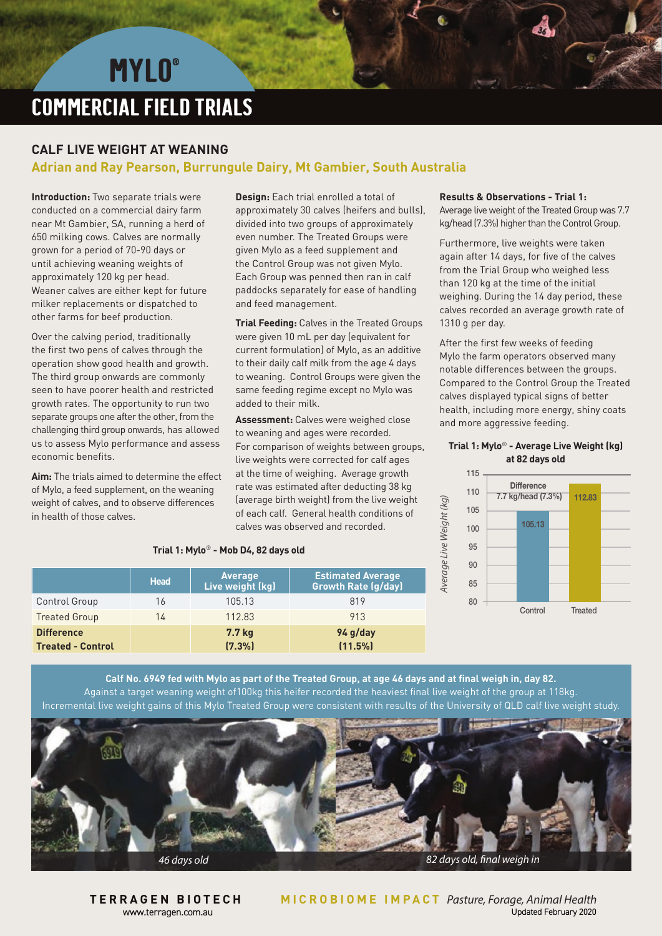# **MYLO**<sup>®</sup>

# **COMMERCIAL FIELD TRIALS**

### **CALF LIVE WEIGHT AT WEANING**

## **Adrian and Ray Pearson, Burrungule Dairy, Mt Gambier, South Australia**

**Introduction:** Two separate trials were conducted on a commercial dairy farm near Mt Gambier, SA, running a herd of 650 milking cows. Calves are normally grown for a period of 70-90 days or until achieving weaning weights of approximately 120 kg per head. Weaner calves are either kept for future milker replacements or dispatched to other farms for beef production.

Over the calving period, traditionally the first two pens of calves through the operation show good health and growth. The third group onwards are commonly seen to have poorer health and restricted growth rates. The opportunity to run two separate groups one after the other, from the challenging third group onwards, has allowed us to assess Mylo performance and assess economic benefits.

**Aim:** The trials aimed to determine the effect of Mylo, a feed supplement, on the weaning weight of calves, and to observe differences in health of those calves.

**Design:** Each trial enrolled a total of approximately 30 calves (heifers and bulls), divided into two groups of approximately even number. The Treated Groups were given Mylo as a feed supplement and the Control Group was not given Mylo. Each Group was penned then ran in calf paddocks separately for ease of handling and feed management.

**Trial Feeding:** Calves in the Treated Groups were given 10 mL per day (equivalent for current formulation) of Mylo, as an additive to their daily calf milk from the age 4 days to weaning. Control Groups were given the same feeding regime except no Mylo was added to their milk.

**Assessment:** Calves were weighed close to weaning and ages were recorded. For comparison of weights between groups, live weights were corrected for calf ages at the time of weighing. Average growth rate was estimated after deducting 38 kg (average birth weight) from the live weight of each calf. General health conditions of calves was observed and recorded.

**Results & Observations - Trial 1:**

Average live weight of the Treated Group was 7.7 kg/head (7.3%) higher than the Control Group.

Furthermore, live weights were taken again after 14 days, for five of the calves from the Trial Group who weighed less than 120 kg at the time of the initial weighing. During the 14 day period, these calves recorded an average growth rate of 1310 g per day.

After the first few weeks of feeding Mylo the farm operators observed many notable differences between the groups. Compared to the Control Group the Treated calves displayed typical signs of better health, including more energy, shiny coats and more aggressive feeding.

### **Trial 1: Mylo**® **- Average Live Weight (kg) at 82 days old**



### **Trial 1: Mylo**® **- Mob D4, 82 days old**

|                          | <b>Head</b> | Average<br>Live weight (kg) | <b>Estimated Average</b><br><b>Growth Rate (g/day)</b> |
|--------------------------|-------------|-----------------------------|--------------------------------------------------------|
| Control Group            | 16          | 105.13                      | 819                                                    |
| <b>Treated Group</b>     | 14          | 112.83                      | 913                                                    |
| <b>Difference</b>        |             | 7.7 kg                      | 94 g/day                                               |
| <b>Treated - Control</b> |             | $(7.3\%)$                   | (11.5%)                                                |

**Calf No. 6949 fed with Mylo as part of the Treated Group, at age 46 days and at final weigh in, day 82.** Against a target weaning weight of100kg this heifer recorded the heaviest final live weight of the group at 118kg. Incremental live weight gains of this Mylo Treated Group were consistent with results of the University of QLD calf live weight study.



www.terragen.com.au

 **TERRAGEN BIOTECH MICROBIOME IMPACT** *Pasture, Forage, Animal Health*

*Average Live Weight (kg)*

Average Live Weight (kg)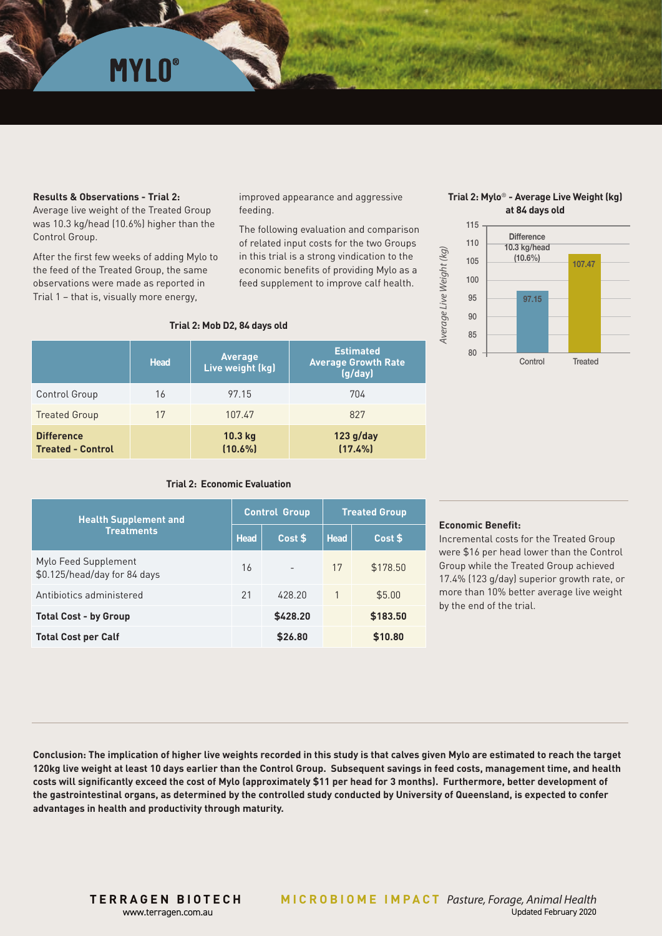# **MYLO**®

#### **Results & Observations - Trial 2:**

Average live weight of the Treated Group was 10.3 kg/head (10.6%) higher than the Control Group.

After the first few weeks of adding Mylo to the feed of the Treated Group, the same observations were made as reported in Trial 1 – that is, visually more energy,

improved appearance and aggressive feeding.

The following evaluation and comparison of related input costs for the two Groups in this trial is a strong vindication to the economic benefits of providing Mylo as a feed supplement to improve calf health.





#### **Trial 2: Mob D2, 84 days old**

|                                               | <b>Head</b> | <b>Average</b><br>Live weight (kg) | <b>Estimated</b><br><b>Average Growth Rate</b><br>(g/day) |
|-----------------------------------------------|-------------|------------------------------------|-----------------------------------------------------------|
| Control Group                                 | 16          | 97.15                              | 704                                                       |
| <b>Treated Group</b>                          | 17          | 107.47                             | 827                                                       |
| <b>Difference</b><br><b>Treated - Control</b> |             | $10.3$ kg<br>$(10.6\%)$            | $123$ g/day<br>(17.4%)                                    |

### **Trial 2: Economic Evaluation**

| <b>Health Supplement and</b><br><b>Treatments</b>    |    | <b>Control Group</b> |             | <b>Treated Group</b> |  |
|------------------------------------------------------|----|----------------------|-------------|----------------------|--|
|                                                      |    | Cost \$              | <b>Head</b> | Cost \$              |  |
| Mylo Feed Supplement<br>\$0.125/head/day for 84 days | 16 |                      | 17          | \$178.50             |  |
| Antibiotics administered                             | 21 | 428.20               |             | \$5.00               |  |
| <b>Total Cost - by Group</b>                         |    | \$428.20             |             | \$183.50             |  |
| <b>Total Cost per Calf</b>                           |    | \$26.80              |             | \$10.80              |  |

#### **Economic Benefit:**

*Average Live Weight (kg)*

Average Live Weight (kg)

Incremental costs for the Treated Group were \$16 per head lower than the Control Group while the Treated Group achieved 17.4% (123 g/day) superior growth rate, or more than 10% better average live weight by the end of the trial.

**Conclusion: The implication of higher live weights recorded in this study is that calves given Mylo are estimated to reach the target 120kg live weight at least 10 days earlier than the Control Group. Subsequent savings in feed costs, management time, and health costs will significantly exceed the cost of Mylo (approximately \$11 per head for 3 months). Furthermore, better development of the gastrointestinal organs, as determined by the controlled study conducted by University of Queensland, is expected to confer advantages in health and productivity through maturity.**